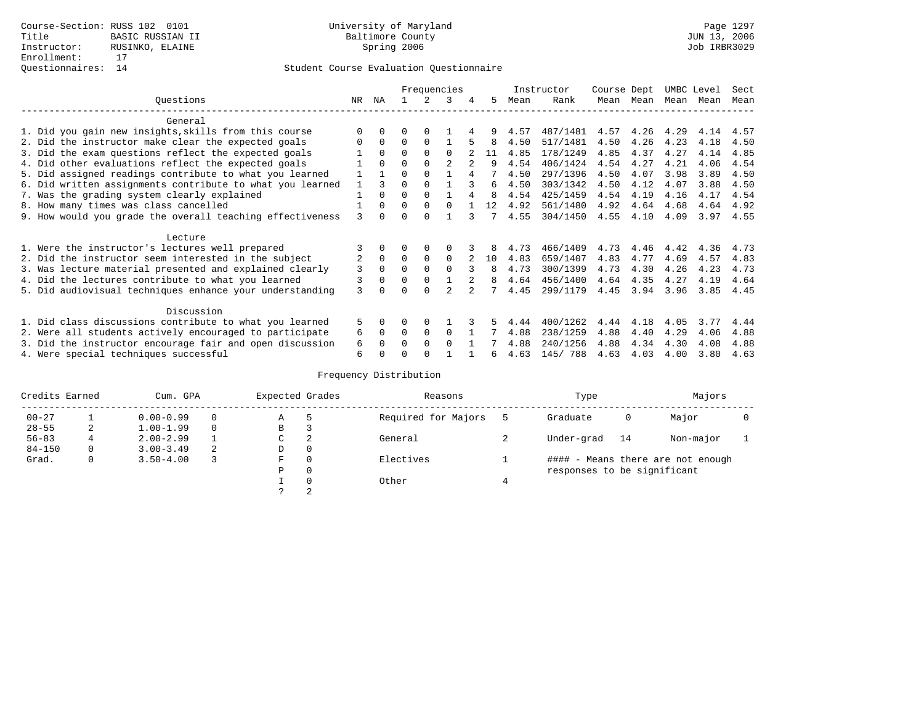|                                                           |     |              |          |          | Frequencies |    |      | Instructor | Course Dept |      | UMBC Level |      | Sect |
|-----------------------------------------------------------|-----|--------------|----------|----------|-------------|----|------|------------|-------------|------|------------|------|------|
| Ouestions                                                 | NR. | ΝA           |          |          | 3           | 5. | Mean | Rank       | Mean        | Mean | Mean       | Mean | Mean |
| General                                                   |     |              |          |          |             |    |      |            |             |      |            |      |      |
| 1. Did you gain new insights, skills from this course     | ∩   |              | O        | ∩        |             |    | 4.57 | 487/1481   | 4.57        | 4.26 | 4.29       | 4.14 | 4.57 |
| 2. Did the instructor make clear the expected goals       | ∩   | $\Omega$     | $\Omega$ | $\Omega$ |             | 8  | 4.50 | 517/1481   | 4.50        | 4.26 | 4.23       | 4.18 | 4.50 |
| 3. Did the exam questions reflect the expected goals      |     | $\Omega$     | $\Omega$ | $\Omega$ | $\Omega$    | 11 | 4.85 | 178/1249   | 4.85        | 4.37 | 4.27       | 4.14 | 4.85 |
| 4. Did other evaluations reflect the expected goals       |     |              | $\Omega$ | $\Omega$ |             | q  | 4.54 | 406/1424   | 4.54        | 4.27 | 4.21       | 4.06 | 4.54 |
| 5. Did assigned readings contribute to what you learned   |     |              | $\Omega$ |          |             |    | 4.50 | 297/1396   | 4.50        | 4.07 | 3.98       | 3.89 | 4.50 |
| 6. Did written assignments contribute to what you learned | 1   | ζ            | $\Omega$ |          |             | 6  | 4.50 | 303/1342   | 4.50        | 4.12 | 4.07       | 3.88 | 4.50 |
| 7. Was the grading system clearly explained               |     |              | $\Omega$ | $\Omega$ |             | 8  | 4.54 | 425/1459   | 4.54        | 4.19 | 4.16       | 4.17 | 4.54 |
| 8. How many times was class cancelled                     |     | $\Omega$     | $\Omega$ | $\Omega$ | $\Omega$    | 12 | 4.92 | 561/1480   | 4.92        | 4.64 | 4.68       | 4.64 | 4.92 |
| 9. How would you grade the overall teaching effectiveness | 3   | <sup>n</sup> | $\Omega$ | $\cap$   |             | 7  | 4.55 | 304/1450   | 4.55        | 4.10 | 4.09       | 3.97 | 4.55 |
| Lecture                                                   |     |              |          |          |             |    |      |            |             |      |            |      |      |
| 1. Were the instructor's lectures well prepared           |     |              |          |          |             |    | 4.73 | 466/1409   | 4.73        | 4.46 | 4.42       | 4.36 | 4.73 |
| 2. Did the instructor seem interested in the subject      |     | $\Omega$     | $\Omega$ | $\Omega$ | $\Omega$    | 10 | 4.83 | 659/1407   | 4.83        | 4.77 | 4.69       | 4.57 | 4.83 |
| 3. Was lecture material presented and explained clearly   | 3   | $\Omega$     | $\Omega$ |          | $\cap$      | 8  | 4.73 | 300/1399   | 4.73        | 4.30 | 4.26       | 4.23 | 4.73 |
| 4. Did the lectures contribute to what you learned        | 3   |              | $\Omega$ |          |             | 8  | 4.64 | 456/1400   | 4.64        | 4.35 | 4.27       | 4.19 | 4.64 |
| 5. Did audiovisual techniques enhance your understanding  | 3   |              |          |          |             |    | 4.45 | 299/1179   | 4.45        | 3.94 | 3.96       | 3.85 | 4.45 |
| Discussion                                                |     |              |          |          |             |    |      |            |             |      |            |      |      |
| 1. Did class discussions contribute to what you learned   | 5   |              | O        | $\Omega$ |             |    | 4.44 | 400/1262   | 4.44        | 4.18 | 4.05       | 3.77 | 4.44 |
| 2. Were all students actively encouraged to participate   | 6   | 0            | 0        | $\Omega$ | $\Omega$    |    | 4.88 | 238/1259   | 4.88        | 4.40 | 4.29       | 4.06 | 4.88 |
| 3. Did the instructor encourage fair and open discussion  | 6   |              | O        | $\Omega$ | $\Omega$    |    | 4.88 | 240/1256   | 4.88        | 4.34 | 4.30       | 4.08 | 4.88 |
| 4. Were special techniques successful                     | 6   |              |          |          |             | 6  | 4.63 | 145/788    | 4.63        | 4.03 | 4.00       | 3.80 | 4.63 |

| Credits Earned |   | Cum. GPA      |   |             | Expected Grades | Reasons             | Type                        |    | Majors                            |  |
|----------------|---|---------------|---|-------------|-----------------|---------------------|-----------------------------|----|-----------------------------------|--|
| $00 - 27$      |   | $0.00 - 0.99$ |   | Α           | 5               | Required for Majors | Graduate                    | 0  | Major                             |  |
| $28 - 55$      | 2 | $1.00 - 1.99$ |   | В           | 3               |                     |                             |    |                                   |  |
| $56 - 83$      |   | $2.00 - 2.99$ |   | $\sim$<br>◡ | 2               | General             | Under-grad                  | 14 | Non-major                         |  |
| $84 - 150$     | 0 | $3.00 - 3.49$ | 2 | D           | 0               |                     |                             |    |                                   |  |
| Grad.          | 0 | $3.50 - 4.00$ |   | F           | 0               | Electives           |                             |    | #### - Means there are not enough |  |
|                |   |               |   | Ρ           | 0               |                     | responses to be significant |    |                                   |  |
|                |   |               |   |             | $\Omega$        | Other               |                             |    |                                   |  |
|                |   |               |   | っ           | 2               |                     |                             |    |                                   |  |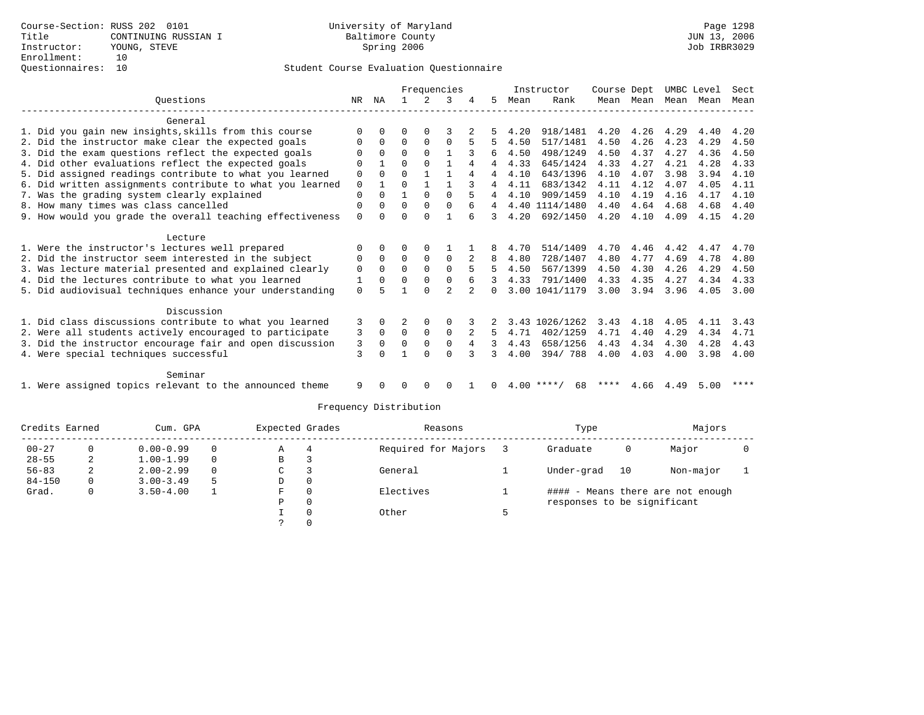|                                                           |          |              |          |              | Frequencies    |   |   |              | Instructor     | Course Dept |      |      | UMBC Level | Sect |
|-----------------------------------------------------------|----------|--------------|----------|--------------|----------------|---|---|--------------|----------------|-------------|------|------|------------|------|
| Ouestions                                                 | NR.      | ΝA           |          |              | 3              |   | 5 | Mean         | Rank           | Mean        | Mean | Mean | Mean       | Mean |
| General                                                   |          |              |          |              |                |   |   |              |                |             |      |      |            |      |
| 1. Did you gain new insights, skills from this course     | $\Omega$ | $\Omega$     | 0        | 0            |                |   |   | 4.20         | 918/1481       | 4.20        | 4.26 | 4.29 | 4.40       | 4.20 |
| 2. Did the instructor make clear the expected goals       | O        | 0            | $\Omega$ | $\mathbf 0$  | 0              |   | 5 | 4.50         | 517/1481       | 4.50        | 4.26 | 4.23 | 4.29       | 4.50 |
| 3. Did the exam questions reflect the expected goals      |          | $\Omega$     | $\Omega$ | $\Omega$     |                |   | 6 | 4.50         | 498/1249       | 4.50        | 4.37 | 4.27 | 4.36       | 4.50 |
| 4. Did other evaluations reflect the expected goals       | 0        |              | 0        | $\Omega$     |                | 4 | 4 | 4.33         | 645/1424       | 4.33        | 4.27 | 4.21 | 4.28       | 4.33 |
| 5. Did assigned readings contribute to what you learned   | 0        | $\Omega$     | U        |              |                | 4 | 4 | 4.10         | 643/1396       | 4.10        | 4.07 | 3.98 | 3.94       | 4.10 |
| 6. Did written assignments contribute to what you learned | 0        | $\mathbf{1}$ | 0        |              |                |   | 4 | 4.11         | 683/1342       | 4.11        | 4.12 | 4.07 | 4.05       | 4.11 |
| 7. Was the grading system clearly explained               | 0        | $\Omega$     | 1        | $\Omega$     | $\Omega$       | 5 | 4 | 4.10         | 909/1459       | 4.10        | 4.19 | 4.16 | 4.17       | 4.10 |
| 8. How many times was class cancelled                     | 0        | $\Omega$     | $\Omega$ | $\mathbf 0$  | $\Omega$       | 6 | 4 | 4.40         | 1114/1480      | 4.40        | 4.64 | 4.68 | 4.68       | 4.40 |
| 9. How would you grade the overall teaching effectiveness | 0        | U            | U        | U            |                |   |   | 4.20         | 692/1450       | 4.20        | 4.10 | 4.09 | 4.15       | 4.20 |
| Lecture                                                   |          |              |          |              |                |   |   |              |                |             |      |      |            |      |
| 1. Were the instructor's lectures well prepared           | O        | $\Omega$     | O        | 0            |                |   | 8 | 4.70         | 514/1409       | 4.70        | 4.46 | 4.42 | 4.47       | 4.70 |
| 2. Did the instructor seem interested in the subject      | 0        | $\Omega$     | $\Omega$ | $\mathbf 0$  | 0              | 2 | 8 | 4.80         | 728/1407       | 4.80        | 4.77 | 4.69 | 4.78       | 4.80 |
| 3. Was lecture material presented and explained clearly   | 0        | $\Omega$     | $\Omega$ | $\Omega$     | $\Omega$       | 5 | 5 | 4.50         | 567/1399       | 4.50        | 4.30 | 4.26 | 4.29       | 4.50 |
| 4. Did the lectures contribute to what you learned        | 1        | $\Omega$     | O        | $\Omega$     | $\Omega$       | 6 |   | 4.33         | 791/1400       | 4.33        | 4.35 | 4.27 | 4.34       | 4.33 |
| 5. Did audiovisual techniques enhance your understanding  | $\Omega$ |              |          | $\cap$       | $\mathfrak{D}$ |   | 0 |              | 3.00 1041/1179 | 3.00        | 3.94 | 3.96 | 4.05       | 3.00 |
| Discussion                                                |          |              |          |              |                |   |   |              |                |             |      |      |            |      |
| 1. Did class discussions contribute to what you learned   | 3        | $\Omega$     |          | $\Omega$     | $\Omega$       |   |   | 3.43         | 1026/1262      | 3.43        | 4.18 | 4.05 | 4.11       | 3.43 |
| 2. Were all students actively encouraged to participate   | 3        | $\Omega$     | 0        | $\mathbf{0}$ | 0              | 2 | 5 | 4.71         | 402/1259       | 4.71        | 4.40 | 4.29 | 4.34       | 4.71 |
| 3. Did the instructor encourage fair and open discussion  | 3        | $\Omega$     | $\Omega$ | $\Omega$     | $\Omega$       | 4 |   | 4.43         | 658/1256       | 4.43        | 4.34 | 4.30 | 4.28       | 4.43 |
| 4. Were special techniques successful                     | 3        |              |          | U            | $\Omega$       |   |   | 4.00         | 394/788        | 4.00        | 4.03 | 4.00 | 3.98       | 4.00 |
| Seminar                                                   |          |              |          |              |                |   |   |              |                |             |      |      |            |      |
| 1. Were assigned topics relevant to the announced theme   | 9        |              | O        | $\Omega$     | $\Omega$       |   | 0 | $4.00$ ****/ | 68             | ****        | 4.66 | 4.49 | 5.00       | **** |

| Credits Earned |          | Cum. GPA      | Expected Grades |   | Reasons      | Type                | Majors                      |    |                                   |  |
|----------------|----------|---------------|-----------------|---|--------------|---------------------|-----------------------------|----|-----------------------------------|--|
| $00 - 27$      |          | $0.00 - 0.99$ | $\Omega$        | Α | 4            | Required for Majors | Graduate                    | 0  | Major                             |  |
| $28 - 55$      |          | $1.00 - 1.99$ | $\Omega$        | B |              |                     |                             |    |                                   |  |
| $56 - 83$      |          | $2.00 - 2.99$ | $\Omega$        | C |              | General             | Under-grad                  | 10 | Non-major                         |  |
| $84 - 150$     | $\Omega$ | $3.00 - 3.49$ |                 | D | $\mathbf{0}$ |                     |                             |    |                                   |  |
| Grad.          | 0        | $3.50 - 4.00$ |                 | F | 0            | Electives           |                             |    | #### - Means there are not enough |  |
|                |          |               |                 | Ρ | 0            |                     | responses to be significant |    |                                   |  |
|                |          |               |                 |   | $\Omega$     | Other               |                             |    |                                   |  |
|                |          |               |                 |   |              |                     |                             |    |                                   |  |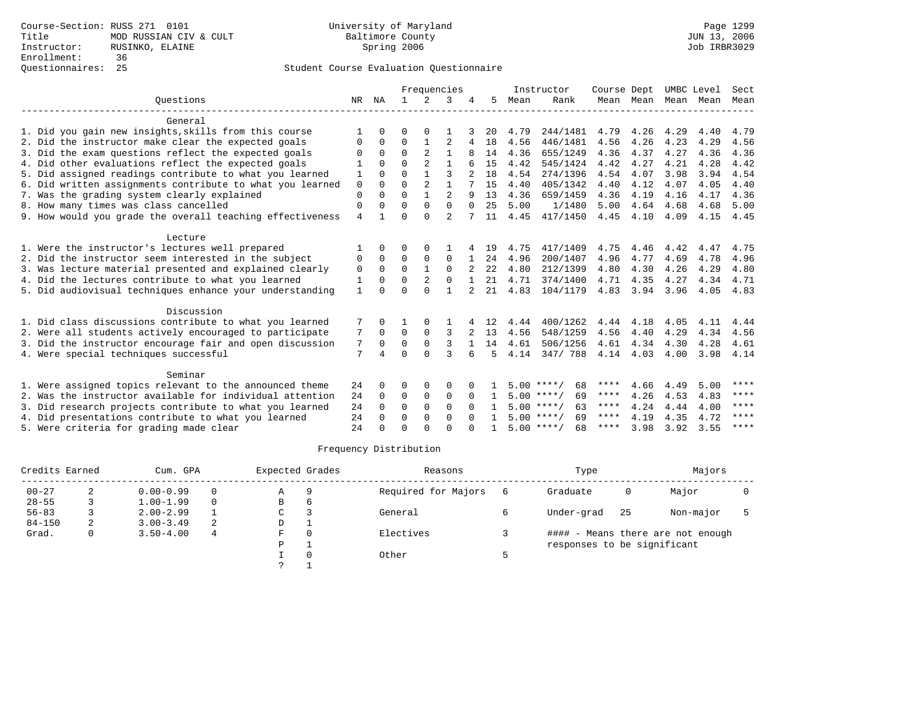|                                                           |              |          |             |                | Frequencies    |          |     |      | Instructor         | Course Dept |                | UMBC Level |      | Sect |
|-----------------------------------------------------------|--------------|----------|-------------|----------------|----------------|----------|-----|------|--------------------|-------------|----------------|------------|------|------|
| Ouestions                                                 | NR           | ΝA       |             | 2              | 3              |          | 5   | Mean | Rank               |             | Mean Mean Mean |            | Mean | Mean |
| General                                                   |              |          |             |                |                |          |     |      |                    |             |                |            |      |      |
| 1. Did you gain new insights, skills from this course     |              |          |             |                |                |          | 20  | 4.79 | 244/1481           | 4.79        | 4.26           | 4.29       | 4.40 | 4.79 |
| 2. Did the instructor make clear the expected goals       | 0            | $\Omega$ | $\mathbf 0$ |                | $\overline{2}$ | 4        | 18  | 4.56 | 446/1481           | 4.56        | 4.26           | 4.23       | 4.29 | 4.56 |
| 3. Did the exam questions reflect the expected goals      | $\Omega$     | $\Omega$ | $\Omega$    | $\overline{2}$ | $\mathbf{1}$   |          | 14  | 4.36 | 655/1249           | 4.36        | 4.37           | 4.27       | 4.36 | 4.36 |
| 4. Did other evaluations reflect the expected goals       |              |          | $\Omega$    | 2              |                |          | 1.5 | 4.42 | 545/1424           | 4.42        | 4.27           | 4.21       | 4.28 | 4.42 |
| 5. Did assigned readings contribute to what you learned   | 1            | $\Omega$ | $\Omega$    |                | 3              |          | 18  | 4.54 | 274/1396           | 4.54        | 4.07           | 3.98       | 3.94 | 4.54 |
| 6. Did written assignments contribute to what you learned | $\mathbf 0$  | $\Omega$ | $\Omega$    | 2              | $\mathbf{1}$   |          | 15  | 4.40 | 405/1342           | 4.40        | 4.12           | 4.07       | 4.05 | 4.40 |
| 7. Was the grading system clearly explained               | $\mathbf 0$  | $\Omega$ | $\Omega$    |                | $\overline{a}$ |          | 13  | 4.36 | 659/1459           | 4.36        | 4.19           | 4.16       | 4.17 | 4.36 |
| 8. How many times was class cancelled                     | $\mathbf 0$  | $\Omega$ | $\Omega$    | $\Omega$       | $\Omega$       | $\Omega$ | 2.5 | 5.00 | 1/1480             | 5.00        | 4.64           | 4.68       | 4.68 | 5.00 |
| 9. How would you grade the overall teaching effectiveness | 4            |          | $\Omega$    | $\Omega$       | $\mathfrak{D}$ |          | 11  | 4.45 | 417/1450           | 4.45        | 4.10           | 4.09       | 4.15 | 4.45 |
| Lecture                                                   |              |          |             |                |                |          |     |      |                    |             |                |            |      |      |
| 1. Were the instructor's lectures well prepared           |              | $\cap$   | $\Omega$    | $\Omega$       |                |          | 19  | 4.75 | 417/1409           | 4.75        | 4.46           | 4.42       | 4.47 | 4.75 |
| 2. Did the instructor seem interested in the subject      | $\Omega$     | $\Omega$ | $\Omega$    | $\Omega$       | $\Omega$       |          | 2.4 | 4.96 | 200/1407           | 4.96        | 4.77           | 4.69       | 4.78 | 4.96 |
| 3. Was lecture material presented and explained clearly   | 0            | $\Omega$ | $\Omega$    |                | $\Omega$       |          | 22  | 4.80 | 212/1399           | 4.80        | 4.30           | 4.26       | 4.29 | 4.80 |
| 4. Did the lectures contribute to what you learned        | 1            | $\Omega$ | $\Omega$    | 2              | $\Omega$       |          | 21  | 4.71 | 374/1400           | 4.71        | 4.35           | 4.27       | 4.34 | 4.71 |
| 5. Did audiovisual techniques enhance your understanding  | $\mathbf{1}$ | $\cap$   | $\Omega$    | $\Omega$       | 1              |          | 21  | 4.83 | 104/1179           | 4.83        | 3.94           | 3.96       | 4.05 | 4.83 |
| Discussion                                                |              |          |             |                |                |          |     |      |                    |             |                |            |      |      |
| 1. Did class discussions contribute to what you learned   | 7            |          |             | 0              |                |          | 12  | 4.44 | 400/1262           | 4.44        | 4.18           | 4.05       | 4.11 | 4.44 |
| 2. Were all students actively encouraged to participate   | 7            | $\Omega$ | $\Omega$    | $\mathbf{0}$   | 3              |          | 13  | 4.56 | 548/1259           | 4.56        | 4.40           | 4.29       | 4.34 | 4.56 |
| 3. Did the instructor encourage fair and open discussion  | 7            | $\Omega$ | $\Omega$    | $\Omega$       | 3              |          | 14  | 4.61 | 506/1256           | 4.61        | 4.34           | 4.30       | 4.28 | 4.61 |
| 4. Were special techniques successful                     | 7            | 4        | $\Omega$    | $\Omega$       | ζ              |          | 5   | 4.14 | 347/788            | 4.14 4.03   |                | 4.00       | 3.98 | 4.14 |
| Seminar                                                   |              |          |             |                |                |          |     |      |                    |             |                |            |      |      |
| 1. Were assigned topics relevant to the announced theme   | 24           | $\Omega$ | ∩           | <sup>0</sup>   | $\Omega$       |          |     |      | $5.00$ ****/<br>68 | ****        | 4.66           | 4.49       | 5.00 | **** |
| 2. Was the instructor available for individual attention  | 24           | $\Omega$ | $\Omega$    | $\Omega$       | $\Omega$       | $\Omega$ |     |      | $5.00$ ****/<br>69 | ****        | 4.26           | 4.53       | 4.83 | **** |
| 3. Did research projects contribute to what you learned   | 24           | $\Omega$ | $\Omega$    | $\Omega$       | $\Omega$       | $\Omega$ |     |      | $5.00$ ****/<br>63 | ****        | 4.24           | 4.44       | 4.00 | **** |
| 4. Did presentations contribute to what you learned       | 24           | $\Omega$ | $\Omega$    | $\Omega$       | $\Omega$       | $\cap$   |     |      | $5.00$ ****/<br>69 | ****        | 4.19           | 4.35       | 4.72 | **** |
| 5. Were criteria for grading made clear                   | 24           |          | ∩           |                | ∩              |          |     |      | $5.00$ ****/<br>68 | ****        | 3.98           | 3.92       | 3.55 | **** |

| Credits Earned |   | Cum. GPA      | Expected Grades |               | Reasons  | Type                |                             | Majors |                                   |  |
|----------------|---|---------------|-----------------|---------------|----------|---------------------|-----------------------------|--------|-----------------------------------|--|
| $00 - 27$      |   | $0.00 - 0.99$ |                 | Α             | q        | Required for Majors | Graduate                    | 0      | Major                             |  |
| $28 - 55$      |   | $1.00 - 1.99$ | 0               | B             | 6        |                     |                             |        |                                   |  |
| $56 - 83$      |   | $2.00 - 2.99$ |                 | C             |          | General             | Under-grad                  | 25     | Non-major                         |  |
| $84 - 150$     | 2 | $3.00 - 3.49$ | 2               | D             |          |                     |                             |        |                                   |  |
| Grad.          | 0 | $3.50 - 4.00$ | 4               | F.            | $\Omega$ | Electives           |                             |        | #### - Means there are not enough |  |
|                |   |               |                 | P             |          |                     | responses to be significant |        |                                   |  |
|                |   |               |                 |               |          | Other               |                             |        |                                   |  |
|                |   |               |                 | $\mathcal{L}$ |          |                     |                             |        |                                   |  |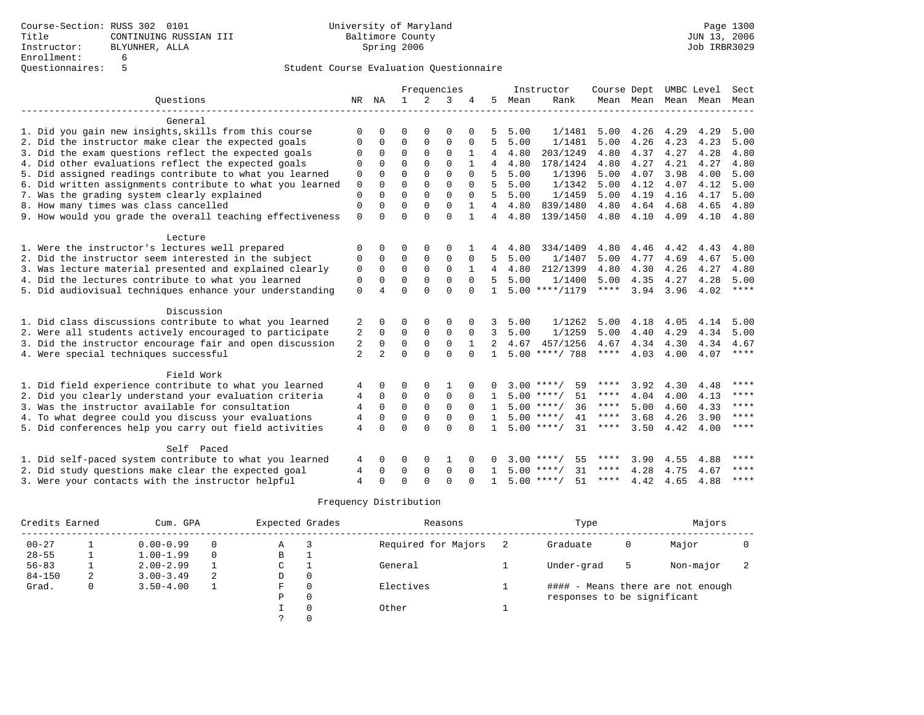|                                                           |                |                |              |                | Frequencies |          |                |      | Instructor         | Course Dept |                | UMBC Level |      | Sect        |
|-----------------------------------------------------------|----------------|----------------|--------------|----------------|-------------|----------|----------------|------|--------------------|-------------|----------------|------------|------|-------------|
| Ouestions                                                 |                | NA             | $\mathbf{1}$ | $\mathfrak{D}$ | 3           |          | 5              | Mean | Rank               |             | Mean Mean Mean |            | Mean | Mean        |
|                                                           |                |                |              |                |             |          |                |      |                    |             |                |            |      |             |
| General                                                   |                |                |              |                |             |          |                |      |                    |             |                |            |      |             |
| 1. Did you gain new insights, skills from this course     | ∩              |                | $\Omega$     | $\Omega$       | 0           | $\Omega$ | 5              | 5.00 | 1/1481             | 5.00        | 4.26           | 4.29       | 4.29 | 5.00        |
| 2. Did the instructor make clear the expected goals       |                | 0              | 0            | $\mathbf 0$    | 0           | $\Omega$ | 5              | 5.00 | 1/1481             | 5.00        | 4.26           | 4.23       | 4.23 | 5.00        |
| 3. Did the exam questions reflect the expected goals      |                | 0              | $\Omega$     | $\Omega$       | 0           |          | 4              | 4.80 | 203/1249           | 4.80        | 4.37           | 4.27       | 4.28 | 4.80        |
| 4. Did other evaluations reflect the expected goals       | $\Omega$       |                | $\Omega$     | $\Omega$       | $\Omega$    |          | 4              | 4.80 | 178/1424           | 4.80        | 4.27           | 4.21       | 4.27 | 4.80        |
| 5. Did assigned readings contribute to what you learned   | $\mathbf 0$    | $\Omega$       | $\Omega$     | $\Omega$       | $\Omega$    | $\Omega$ | 5.             | 5.00 | 1/1396             | 5.00        | 4.07           | 3.98       | 4.00 | 5.00        |
| 6. Did written assignments contribute to what you learned | $\mathbf 0$    | $\Omega$       | $\Omega$     | $\Omega$       | $\Omega$    | $\Omega$ | 5              | 5.00 | 1/1342             | 5.00        | 4.12           | 4.07       | 4.12 | 5.00        |
| 7. Was the grading system clearly explained               | $\Omega$       | $\cap$         | $\Omega$     | $\Omega$       | $\Omega$    | $\Omega$ | 5              | 5.00 | 1/1459             | 5.00        | 4.19           | 4.16       | 4.17 | 5.00        |
| 8. How many times was class cancelled                     | $\Omega$       | $\Omega$       | $\Omega$     | $\Omega$       | $\Omega$    |          | $\overline{4}$ | 4.80 | 839/1480           | 4.80        | 4.64           | 4.68       | 4.65 | 4.80        |
| 9. How would you grade the overall teaching effectiveness | $\mathbf 0$    | $\cap$         | $\cap$       | $\cap$         | $\Omega$    |          | 4              | 4.80 | 139/1450           | 4.80        | 4.10           | 4.09       | 4.10 | 4.80        |
|                                                           |                |                |              |                |             |          |                |      |                    |             |                |            |      |             |
| Lecture                                                   |                |                |              |                |             |          |                |      |                    |             |                |            |      |             |
| 1. Were the instructor's lectures well prepared           | O              | $\Omega$       | ∩            | <sup>0</sup>   | $\Omega$    |          |                | 4.80 | 334/1409           | 4.80        | 4.46           | 4.42       | 4.43 | 4.80        |
| 2. Did the instructor seem interested in the subject      | $\Omega$       | $\Omega$       | $\Omega$     | $\Omega$       | $\Omega$    | $\Omega$ | 5              | 5.00 | 1/1407             | 5.00        | 4.77           | 4.69       | 4.67 | 5.00        |
| 3. Was lecture material presented and explained clearly   | 0              | $\Omega$       | $\Omega$     | $\Omega$       | $\Omega$    |          | 4              | 4.80 | 212/1399           | 4.80        | 4.30           | 4.26       | 4.27 | 4.80        |
| 4. Did the lectures contribute to what you learned        | $\Omega$       | $\Omega$       | $\Omega$     | $\Omega$       | $\Omega$    | $\Omega$ | .5             | 5.00 | 1/1400             | 5.00        | 4.35           | 4.27       | 4.28 | 5.00        |
| 5. Did audiovisual techniques enhance your understanding  | $\mathbf 0$    | 4              | $\Omega$     | $\Omega$       | $\Omega$    | $\Omega$ | $\mathbf{1}$   |      | $5.00$ ****/1179   | $***$ * * * | 3.94           | 3.96       | 4.02 | ****        |
|                                                           |                |                |              |                |             |          |                |      |                    |             |                |            |      |             |
| Discussion                                                |                |                |              |                |             |          |                |      |                    |             |                |            |      |             |
| 1. Did class discussions contribute to what you learned   | 2              | $\Omega$       | ∩            | $\Omega$       | O           | 0        | 3              | 5.00 | 1/1262             | 5.00        | 4.18           | 4.05       | 4.14 | 5.00        |
| 2. Were all students actively encouraged to participate   | 2              | $\Omega$       | 0            | 0              | 0           | 0        | 3              | 5.00 | 1/1259             | 5.00        | 4.40           | 4.29       | 4.34 | 5.00        |
| 3. Did the instructor encourage fair and open discussion  | 2              | $\Omega$       | 0            | 0              | 0           |          | 2              | 4.67 | 457/1256           | 4.67        | 4.34           | 4.30       | 4.34 | 4.67        |
| 4. Were special techniques successful                     | $\overline{2}$ | $\overline{a}$ | $\Omega$     | $\Omega$       | $\Omega$    | $\Omega$ | $\mathbf{1}$   |      | $5.00$ ****/ 788   | ****        | 4.03           | 4.00       | 4.07 | $***$ * * * |
|                                                           |                |                |              |                |             |          |                |      |                    |             |                |            |      |             |
| Field Work                                                |                |                |              |                |             |          |                |      |                    |             |                |            |      |             |
| 1. Did field experience contribute to what you learned    | 4              | $\Omega$       | 0            | 0              |             |          | 0              |      | $3.00$ ****/<br>59 | ****        | 3.92           | 4.30       | 4.48 | ****        |
| 2. Did you clearly understand your evaluation criteria    | 4              | $\Omega$       | 0            | 0              | 0           | $\Omega$ | $\mathbf{1}$   |      | $5.00$ ****/<br>51 | ****        | 4.04           | 4.00       | 4.13 | $***$ * * * |
| 3. Was the instructor available for consultation          | 4              | $\Omega$       | $\mathbf 0$  | $\mathbf 0$    | $\mathbf 0$ |          |                |      | $5.00$ ****/<br>36 | $***$ * * * | 5.00           | 4.60       | 4.33 | $* * * * *$ |
| 4. To what degree could you discuss your evaluations      | 4              | $\Omega$       | $\Omega$     | 0              | 0           | $\Omega$ | $\mathbf{1}$   |      | $5.00$ ****/<br>41 | $***$ * * * | 3.68           | 4.26       | 3.90 | $* * * * *$ |
| 5. Did conferences help you carry out field activities    | 4              | $\Omega$       | $\Omega$     | $\Omega$       | $\Omega$    | $\Omega$ |                |      | $5.00$ ****/<br>31 | $***$ * * * | 3.50           | 4.42       | 4.00 | $***$ * *   |
|                                                           |                |                |              |                |             |          |                |      |                    |             |                |            |      |             |
| Self Paced                                                |                |                |              |                |             |          |                |      |                    |             |                |            |      |             |
| 1. Did self-paced system contribute to what you learned   | 4              | $\Omega$       | $\Omega$     | $\Omega$       |             |          |                |      | $3.00$ ****/<br>55 | ****        | 3.90           | 4.55       | 4.88 | ****        |
| 2. Did study questions make clear the expected goal       | 4              | $\Omega$       | $\Omega$     | $\Omega$       | $\mathbf 0$ | $\Omega$ | $\mathbf{1}$   |      | 31<br>$5.00$ ****/ | $***$ * * * | 4.28           | 4.75       | 4.67 | $***$ * * * |
| 3. Were your contacts with the instructor helpful         | $\overline{4}$ |                | $\Omega$     | $\Omega$       | $\Omega$    |          | $\mathbf{1}$   |      | $5.00$ ****/<br>51 | ****        | 4.42           | 4.65       | 4.88 | ****        |

| Credits Earned |   | Cum. GPA      | Expected Grades | Reasons | Type                | Majors                      |   |                                   |  |
|----------------|---|---------------|-----------------|---------|---------------------|-----------------------------|---|-----------------------------------|--|
| $00 - 27$      |   | $0.00 - 0.99$ | $\Omega$        | Α       | Required for Majors | Graduate                    | 0 | Major                             |  |
| $28 - 55$      |   | $1.00 - 1.99$ | $\Omega$        | В       |                     |                             |   |                                   |  |
| $56 - 83$      |   | $2.00 - 2.99$ |                 | C       | General             | Under-grad                  | 5 | Non-major                         |  |
| $84 - 150$     | 2 | $3.00 - 3.49$ | 2               | D       |                     |                             |   |                                   |  |
| Grad.          | 0 | $3.50 - 4.00$ |                 | F       | Electives           |                             |   | #### - Means there are not enough |  |
|                |   |               |                 | P       |                     | responses to be significant |   |                                   |  |
|                |   |               |                 |         | Other               |                             |   |                                   |  |
|                |   |               |                 |         |                     |                             |   |                                   |  |